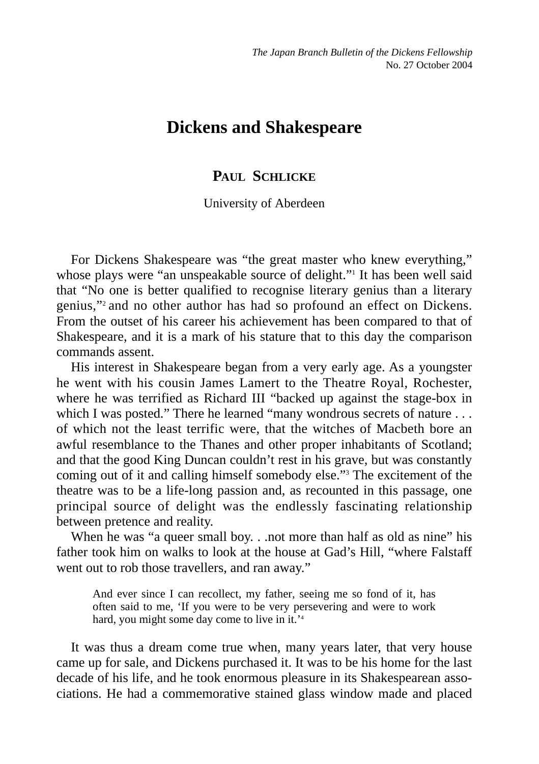# **Dickens and Shakespeare**

## **PAUL SCHLICKE**

## University of Aberdeen

For Dickens Shakespeare was "the great master who knew everything," whose plays were "an unspeakable source of delight." It has been well said that "No one is better qualified to recognise literary genius than a literary genius,"2 and no other author has had so profound an effect on Dickens. From the outset of his career his achievement has been compared to that of Shakespeare, and it is a mark of his stature that to this day the comparison commands assent.

His interest in Shakespeare began from a very early age. As a youngster he went with his cousin James Lamert to the Theatre Royal, Rochester, where he was terrified as Richard III "backed up against the stage-box in which I was posted." There he learned "many wondrous secrets of nature . . . of which not the least terrific were, that the witches of Macbeth bore an awful resemblance to the Thanes and other proper inhabitants of Scotland; and that the good King Duncan couldn't rest in his grave, but was constantly coming out of it and calling himself somebody else."3 The excitement of the theatre was to be a life-long passion and, as recounted in this passage, one principal source of delight was the endlessly fascinating relationship between pretence and reality.

When he was "a queer small boy. . .not more than half as old as nine" his father took him on walks to look at the house at Gad's Hill, "where Falstaff went out to rob those travellers, and ran away."

And ever since I can recollect, my father, seeing me so fond of it, has often said to me, 'If you were to be very persevering and were to work hard, you might some day come to live in it.<sup>'4</sup>

It was thus a dream come true when, many years later, that very house came up for sale, and Dickens purchased it. It was to be his home for the last decade of his life, and he took enormous pleasure in its Shakespearean associations. He had a commemorative stained glass window made and placed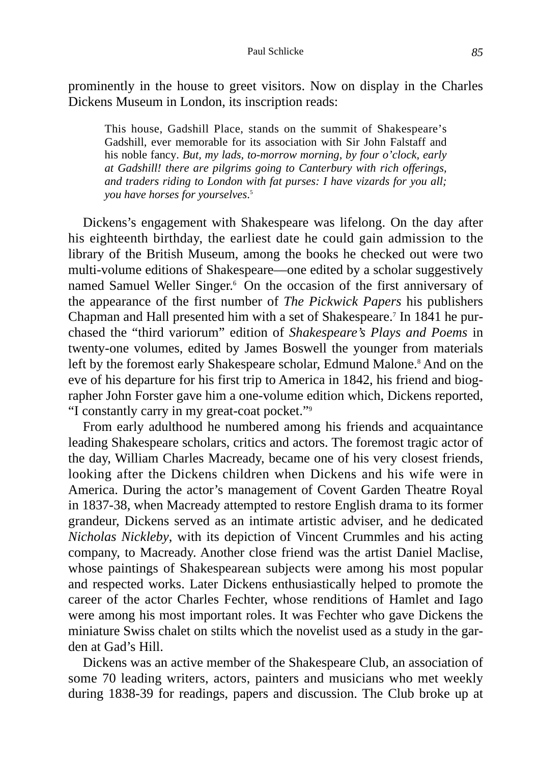prominently in the house to greet visitors. Now on display in the Charles Dickens Museum in London, its inscription reads:

This house, Gadshill Place, stands on the summit of Shakespeare's Gadshill, ever memorable for its association with Sir John Falstaff and his noble fancy. *But, my lads, to-morrow morning, by four o'clock, early at Gadshill! there are pilgrims going to Canterbury with rich offerings, and traders riding to London with fat purses: I have vizards for you all; you have horses for yourselves*. 5

Dickens's engagement with Shakespeare was lifelong. On the day after his eighteenth birthday, the earliest date he could gain admission to the library of the British Museum, among the books he checked out were two multi-volume editions of Shakespeare—one edited by a scholar suggestively named Samuel Weller Singer.<sup>6</sup> On the occasion of the first anniversary of the appearance of the first number of *The Pickwick Papers* his publishers Chapman and Hall presented him with a set of Shakespeare.7 In 1841 he purchased the "third variorum" edition of *Shakespeare's Plays and Poems* in twenty-one volumes, edited by James Boswell the younger from materials left by the foremost early Shakespeare scholar, Edmund Malone.<sup>8</sup> And on the eve of his departure for his first trip to America in 1842, his friend and biographer John Forster gave him a one-volume edition which, Dickens reported, "I constantly carry in my great-coat pocket."9

From early adulthood he numbered among his friends and acquaintance leading Shakespeare scholars, critics and actors. The foremost tragic actor of the day, William Charles Macready, became one of his very closest friends, looking after the Dickens children when Dickens and his wife were in America. During the actor's management of Covent Garden Theatre Royal in 1837-38, when Macready attempted to restore English drama to its former grandeur, Dickens served as an intimate artistic adviser, and he dedicated *Nicholas Nickleby*, with its depiction of Vincent Crummles and his acting company, to Macready. Another close friend was the artist Daniel Maclise, whose paintings of Shakespearean subjects were among his most popular and respected works. Later Dickens enthusiastically helped to promote the career of the actor Charles Fechter, whose renditions of Hamlet and Iago were among his most important roles. It was Fechter who gave Dickens the miniature Swiss chalet on stilts which the novelist used as a study in the garden at Gad's Hill.

Dickens was an active member of the Shakespeare Club, an association of some 70 leading writers, actors, painters and musicians who met weekly during 1838-39 for readings, papers and discussion. The Club broke up at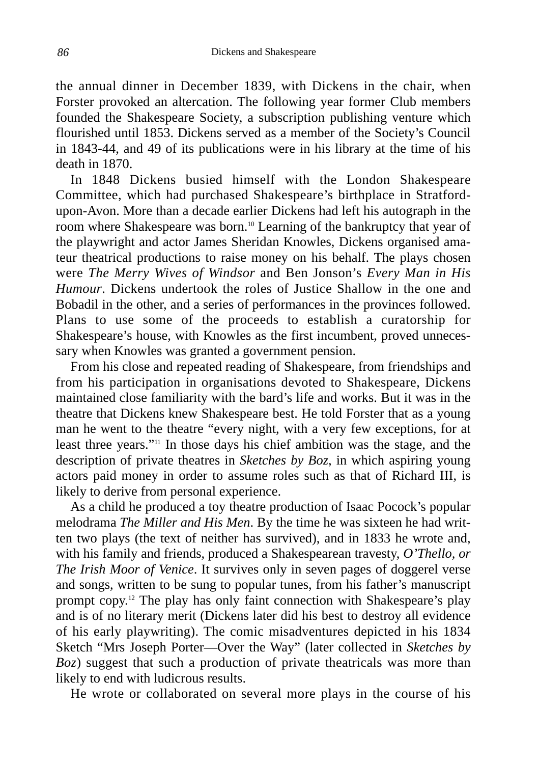the annual dinner in December 1839, with Dickens in the chair, when Forster provoked an altercation. The following year former Club members founded the Shakespeare Society, a subscription publishing venture which flourished until 1853. Dickens served as a member of the Society's Council in 1843-44, and 49 of its publications were in his library at the time of his death in 1870.

In 1848 Dickens busied himself with the London Shakespeare Committee, which had purchased Shakespeare's birthplace in Stratfordupon-Avon. More than a decade earlier Dickens had left his autograph in the room where Shakespeare was born.10 Learning of the bankruptcy that year of the playwright and actor James Sheridan Knowles, Dickens organised amateur theatrical productions to raise money on his behalf. The plays chosen were *The Merry Wives of Windsor* and Ben Jonson's *Every Man in His Humour*. Dickens undertook the roles of Justice Shallow in the one and Bobadil in the other, and a series of performances in the provinces followed. Plans to use some of the proceeds to establish a curatorship for Shakespeare's house, with Knowles as the first incumbent, proved unnecessary when Knowles was granted a government pension.

From his close and repeated reading of Shakespeare, from friendships and from his participation in organisations devoted to Shakespeare, Dickens maintained close familiarity with the bard's life and works. But it was in the theatre that Dickens knew Shakespeare best. He told Forster that as a young man he went to the theatre "every night, with a very few exceptions, for at least three years."11 In those days his chief ambition was the stage, and the description of private theatres in *Sketches by Boz*, in which aspiring young actors paid money in order to assume roles such as that of Richard III, is likely to derive from personal experience.

As a child he produced a toy theatre production of Isaac Pocock's popular melodrama *The Miller and His Men*. By the time he was sixteen he had written two plays (the text of neither has survived), and in 1833 he wrote and, with his family and friends, produced a Shakespearean travesty, *O'Thello, or The Irish Moor of Venice*. It survives only in seven pages of doggerel verse and songs, written to be sung to popular tunes, from his father's manuscript prompt copy.12 The play has only faint connection with Shakespeare's play and is of no literary merit (Dickens later did his best to destroy all evidence of his early playwriting). The comic misadventures depicted in his 1834 Sketch "Mrs Joseph Porter—Over the Way" (later collected in *Sketches by Boz*) suggest that such a production of private theatricals was more than likely to end with ludicrous results.

He wrote or collaborated on several more plays in the course of his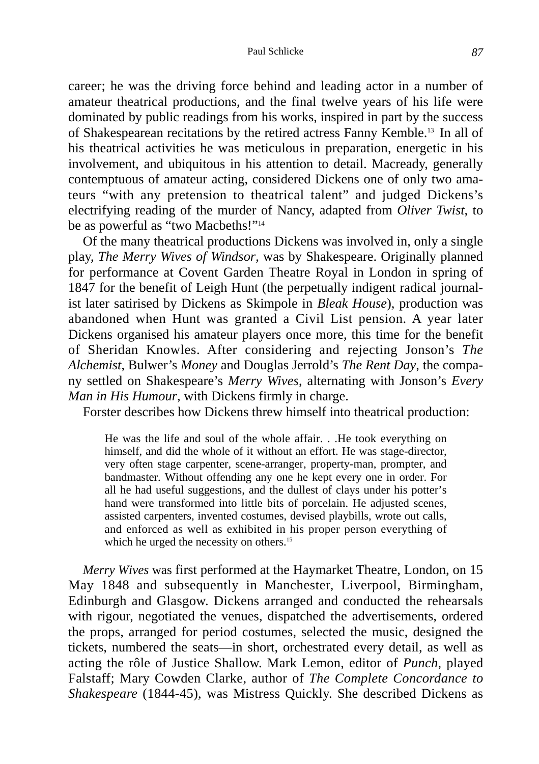#### Paul Schlicke *87*

career; he was the driving force behind and leading actor in a number of amateur theatrical productions, and the final twelve years of his life were dominated by public readings from his works, inspired in part by the success of Shakespearean recitations by the retired actress Fanny Kemble.13 In all of his theatrical activities he was meticulous in preparation, energetic in his involvement, and ubiquitous in his attention to detail. Macready, generally contemptuous of amateur acting, considered Dickens one of only two amateurs "with any pretension to theatrical talent" and judged Dickens's electrifying reading of the murder of Nancy, adapted from *Oliver Twist*, to be as powerful as "two Macbeths!"<sup>14</sup>

Of the many theatrical productions Dickens was involved in, only a single play, *The Merry Wives of Windsor*, was by Shakespeare. Originally planned for performance at Covent Garden Theatre Royal in London in spring of 1847 for the benefit of Leigh Hunt (the perpetually indigent radical journalist later satirised by Dickens as Skimpole in *Bleak House*), production was abandoned when Hunt was granted a Civil List pension. A year later Dickens organised his amateur players once more, this time for the benefit of Sheridan Knowles. After considering and rejecting Jonson's *The Alchemist*, Bulwer's *Money* and Douglas Jerrold's *The Rent Day*, the company settled on Shakespeare's *Merry Wives*, alternating with Jonson's *Every Man in His Humour*, with Dickens firmly in charge.

Forster describes how Dickens threw himself into theatrical production:

He was the life and soul of the whole affair. . .He took everything on himself, and did the whole of it without an effort. He was stage-director, very often stage carpenter, scene-arranger, property-man, prompter, and bandmaster. Without offending any one he kept every one in order. For all he had useful suggestions, and the dullest of clays under his potter's hand were transformed into little bits of porcelain. He adjusted scenes, assisted carpenters, invented costumes, devised playbills, wrote out calls, and enforced as well as exhibited in his proper person everything of which he urged the necessity on others.<sup>15</sup>

*Merry Wives* was first performed at the Haymarket Theatre, London, on 15 May 1848 and subsequently in Manchester, Liverpool, Birmingham, Edinburgh and Glasgow. Dickens arranged and conducted the rehearsals with rigour, negotiated the venues, dispatched the advertisements, ordered the props, arranged for period costumes, selected the music, designed the tickets, numbered the seats—in short, orchestrated every detail, as well as acting the rôle of Justice Shallow. Mark Lemon, editor of *Punch*, played Falstaff; Mary Cowden Clarke, author of *The Complete Concordance to Shakespeare* (1844-45), was Mistress Quickly. She described Dickens as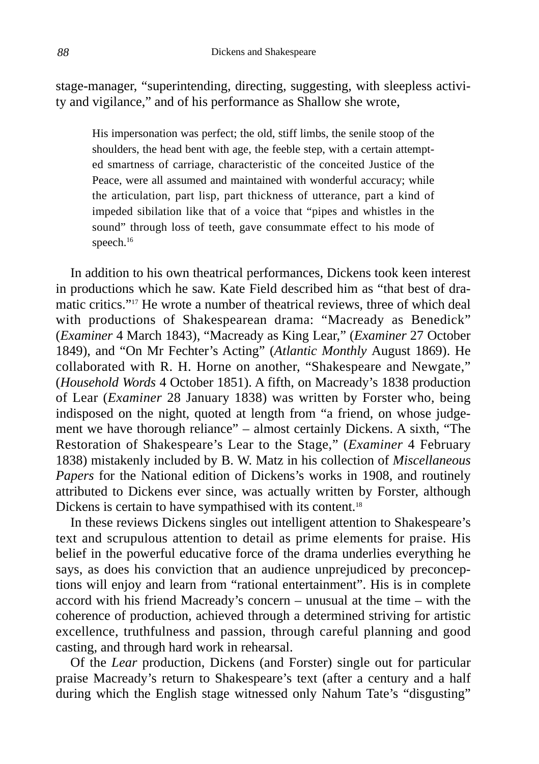stage-manager, "superintending, directing, suggesting, with sleepless activity and vigilance," and of his performance as Shallow she wrote,

His impersonation was perfect; the old, stiff limbs, the senile stoop of the shoulders, the head bent with age, the feeble step, with a certain attempted smartness of carriage, characteristic of the conceited Justice of the Peace, were all assumed and maintained with wonderful accuracy; while the articulation, part lisp, part thickness of utterance, part a kind of impeded sibilation like that of a voice that "pipes and whistles in the sound" through loss of teeth, gave consummate effect to his mode of speech.<sup>16</sup>

In addition to his own theatrical performances, Dickens took keen interest in productions which he saw. Kate Field described him as "that best of dramatic critics."17 He wrote a number of theatrical reviews, three of which deal with productions of Shakespearean drama: "Macready as Benedick" (*Examiner* 4 March 1843), "Macready as King Lear," (*Examiner* 27 October 1849), and "On Mr Fechter's Acting" (*Atlantic Monthly* August 1869). He collaborated with R. H. Horne on another, "Shakespeare and Newgate," (*Household Words* 4 October 1851). A fifth, on Macready's 1838 production of Lear (*Examiner* 28 January 1838) was written by Forster who, being indisposed on the night, quoted at length from "a friend, on whose judgement we have thorough reliance" – almost certainly Dickens. A sixth, "The Restoration of Shakespeare's Lear to the Stage," (*Examiner* 4 February 1838) mistakenly included by B. W. Matz in his collection of *Miscellaneous Papers* for the National edition of Dickens's works in 1908, and routinely attributed to Dickens ever since, was actually written by Forster, although Dickens is certain to have sympathised with its content.<sup>18</sup>

In these reviews Dickens singles out intelligent attention to Shakespeare's text and scrupulous attention to detail as prime elements for praise. His belief in the powerful educative force of the drama underlies everything he says, as does his conviction that an audience unprejudiced by preconceptions will enjoy and learn from "rational entertainment". His is in complete accord with his friend Macready's concern – unusual at the time – with the coherence of production, achieved through a determined striving for artistic excellence, truthfulness and passion, through careful planning and good casting, and through hard work in rehearsal.

Of the *Lear* production, Dickens (and Forster) single out for particular praise Macready's return to Shakespeare's text (after a century and a half during which the English stage witnessed only Nahum Tate's "disgusting"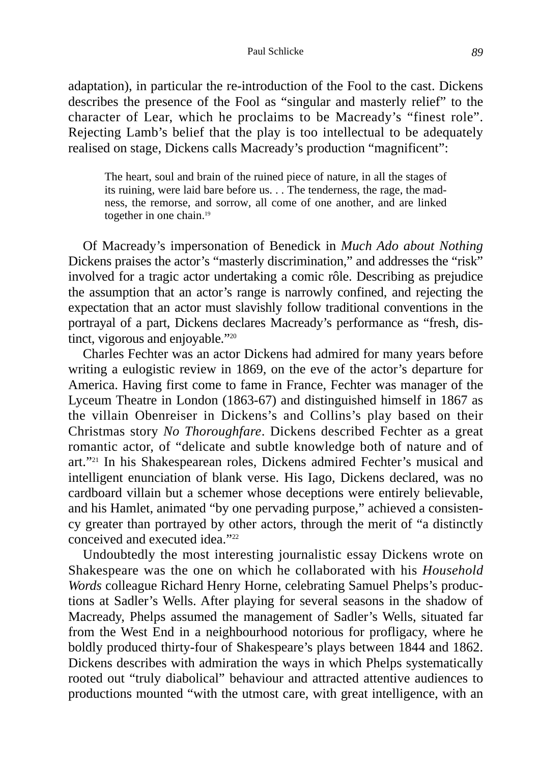#### Paul Schlicke *89*

adaptation), in particular the re-introduction of the Fool to the cast. Dickens describes the presence of the Fool as "singular and masterly relief" to the character of Lear, which he proclaims to be Macready's "finest role". Rejecting Lamb's belief that the play is too intellectual to be adequately realised on stage, Dickens calls Macready's production "magnificent":

The heart, soul and brain of the ruined piece of nature, in all the stages of its ruining, were laid bare before us. . . The tenderness, the rage, the madness, the remorse, and sorrow, all come of one another, and are linked together in one chain.<sup>19</sup>

Of Macready's impersonation of Benedick in *Much Ado about Nothing* Dickens praises the actor's "masterly discrimination," and addresses the "risk" involved for a tragic actor undertaking a comic rôle. Describing as prejudice the assumption that an actor's range is narrowly confined, and rejecting the expectation that an actor must slavishly follow traditional conventions in the portrayal of a part, Dickens declares Macready's performance as "fresh, distinct, vigorous and enjoyable."<sup>20</sup>

Charles Fechter was an actor Dickens had admired for many years before writing a eulogistic review in 1869, on the eve of the actor's departure for America. Having first come to fame in France, Fechter was manager of the Lyceum Theatre in London (1863-67) and distinguished himself in 1867 as the villain Obenreiser in Dickens's and Collins's play based on their Christmas story *No Thoroughfare*. Dickens described Fechter as a great romantic actor, of "delicate and subtle knowledge both of nature and of art."21 In his Shakespearean roles, Dickens admired Fechter's musical and intelligent enunciation of blank verse. His Iago, Dickens declared, was no cardboard villain but a schemer whose deceptions were entirely believable, and his Hamlet, animated "by one pervading purpose," achieved a consistency greater than portrayed by other actors, through the merit of "a distinctly conceived and executed idea."<sup>22</sup>

Undoubtedly the most interesting journalistic essay Dickens wrote on Shakespeare was the one on which he collaborated with his *Household Words* colleague Richard Henry Horne, celebrating Samuel Phelps's productions at Sadler's Wells. After playing for several seasons in the shadow of Macready, Phelps assumed the management of Sadler's Wells, situated far from the West End in a neighbourhood notorious for profligacy, where he boldly produced thirty-four of Shakespeare's plays between 1844 and 1862. Dickens describes with admiration the ways in which Phelps systematically rooted out "truly diabolical" behaviour and attracted attentive audiences to productions mounted "with the utmost care, with great intelligence, with an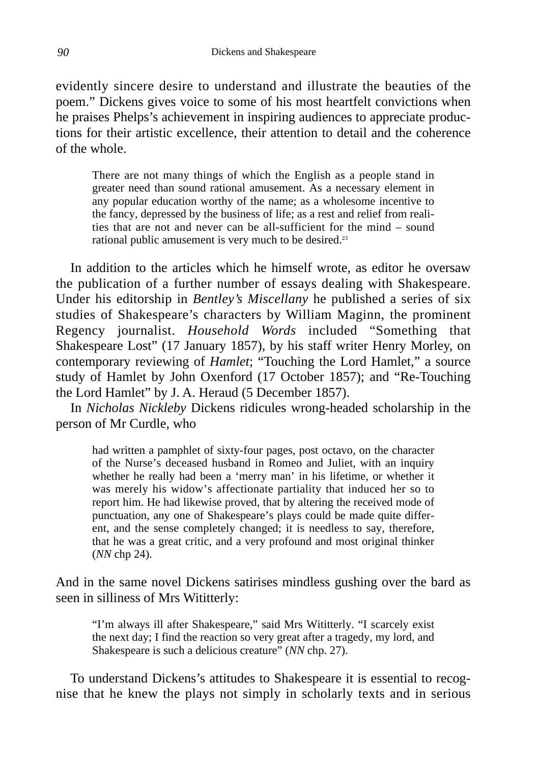evidently sincere desire to understand and illustrate the beauties of the poem." Dickens gives voice to some of his most heartfelt convictions when he praises Phelps's achievement in inspiring audiences to appreciate productions for their artistic excellence, their attention to detail and the coherence of the whole.

There are not many things of which the English as a people stand in greater need than sound rational amusement. As a necessary element in any popular education worthy of the name; as a wholesome incentive to the fancy, depressed by the business of life; as a rest and relief from realities that are not and never can be all-sufficient for the mind – sound rational public amusement is very much to be desired.23

In addition to the articles which he himself wrote, as editor he oversaw the publication of a further number of essays dealing with Shakespeare. Under his editorship in *Bentley's Miscellany* he published a series of six studies of Shakespeare's characters by William Maginn, the prominent Regency journalist. *Household Words* included "Something that Shakespeare Lost" (17 January 1857), by his staff writer Henry Morley, on contemporary reviewing of *Hamlet*; "Touching the Lord Hamlet," a source study of Hamlet by John Oxenford (17 October 1857); and "Re-Touching the Lord Hamlet" by J. A. Heraud (5 December 1857).

In *Nicholas Nickleby* Dickens ridicules wrong-headed scholarship in the person of Mr Curdle, who

had written a pamphlet of sixty-four pages, post octavo, on the character of the Nurse's deceased husband in Romeo and Juliet, with an inquiry whether he really had been a 'merry man' in his lifetime, or whether it was merely his widow's affectionate partiality that induced her so to report him. He had likewise proved, that by altering the received mode of punctuation, any one of Shakespeare's plays could be made quite different, and the sense completely changed; it is needless to say, therefore, that he was a great critic, and a very profound and most original thinker (*NN* chp 24).

And in the same novel Dickens satirises mindless gushing over the bard as seen in silliness of Mrs Wititterly:

"I'm always ill after Shakespeare," said Mrs Wititterly. "I scarcely exist the next day; I find the reaction so very great after a tragedy, my lord, and Shakespeare is such a delicious creature" (*NN* chp. 27).

To understand Dickens's attitudes to Shakespeare it is essential to recognise that he knew the plays not simply in scholarly texts and in serious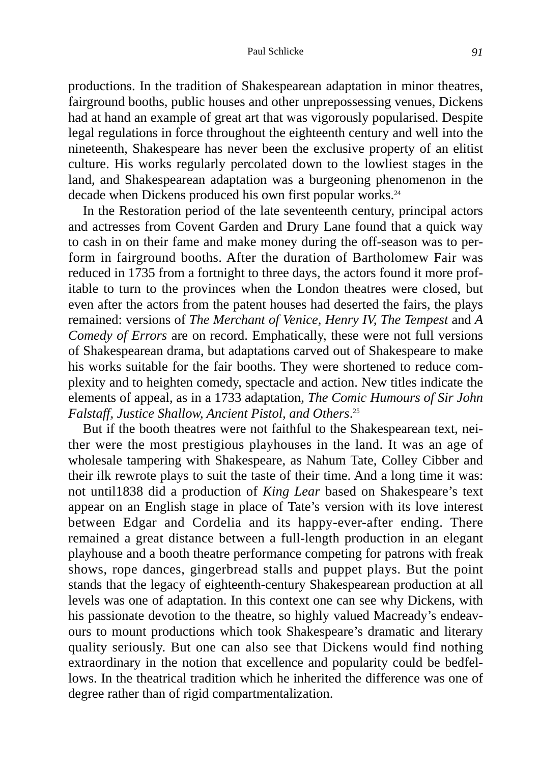#### Paul Schlicke **91**

productions. In the tradition of Shakespearean adaptation in minor theatres, fairground booths, public houses and other unprepossessing venues, Dickens had at hand an example of great art that was vigorously popularised. Despite legal regulations in force throughout the eighteenth century and well into the nineteenth, Shakespeare has never been the exclusive property of an elitist culture. His works regularly percolated down to the lowliest stages in the land, and Shakespearean adaptation was a burgeoning phenomenon in the decade when Dickens produced his own first popular works.<sup>24</sup>

In the Restoration period of the late seventeenth century, principal actors and actresses from Covent Garden and Drury Lane found that a quick way to cash in on their fame and make money during the off-season was to perform in fairground booths. After the duration of Bartholomew Fair was reduced in 1735 from a fortnight to three days, the actors found it more profitable to turn to the provinces when the London theatres were closed, but even after the actors from the patent houses had deserted the fairs, the plays remained: versions of *The Merchant of Venice, Henry IV, The Tempest* and *A Comedy of Errors* are on record. Emphatically, these were not full versions of Shakespearean drama, but adaptations carved out of Shakespeare to make his works suitable for the fair booths. They were shortened to reduce complexity and to heighten comedy, spectacle and action. New titles indicate the elements of appeal, as in a 1733 adaptation, *The Comic Humours of Sir John Falstaff, Justice Shallow, Ancient Pistol, and Others*. 25

But if the booth theatres were not faithful to the Shakespearean text, neither were the most prestigious playhouses in the land. It was an age of wholesale tampering with Shakespeare, as Nahum Tate, Colley Cibber and their ilk rewrote plays to suit the taste of their time. And a long time it was: not until1838 did a production of *King Lear* based on Shakespeare's text appear on an English stage in place of Tate's version with its love interest between Edgar and Cordelia and its happy-ever-after ending. There remained a great distance between a full-length production in an elegant playhouse and a booth theatre performance competing for patrons with freak shows, rope dances, gingerbread stalls and puppet plays. But the point stands that the legacy of eighteenth-century Shakespearean production at all levels was one of adaptation. In this context one can see why Dickens, with his passionate devotion to the theatre, so highly valued Macready's endeavours to mount productions which took Shakespeare's dramatic and literary quality seriously. But one can also see that Dickens would find nothing extraordinary in the notion that excellence and popularity could be bedfellows. In the theatrical tradition which he inherited the difference was one of degree rather than of rigid compartmentalization.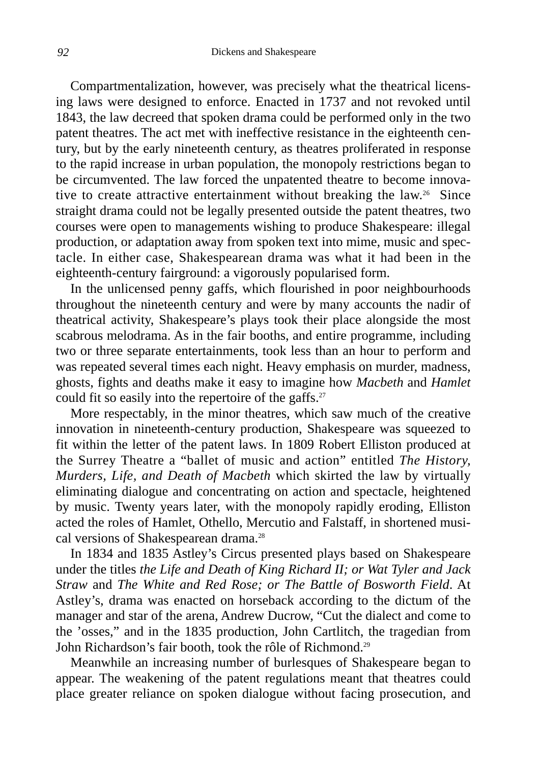Compartmentalization, however, was precisely what the theatrical licensing laws were designed to enforce. Enacted in 1737 and not revoked until 1843, the law decreed that spoken drama could be performed only in the two patent theatres. The act met with ineffective resistance in the eighteenth century, but by the early nineteenth century, as theatres proliferated in response to the rapid increase in urban population, the monopoly restrictions began to be circumvented. The law forced the unpatented theatre to become innovative to create attractive entertainment without breaking the law.26 Since straight drama could not be legally presented outside the patent theatres, two courses were open to managements wishing to produce Shakespeare: illegal production, or adaptation away from spoken text into mime, music and spectacle. In either case, Shakespearean drama was what it had been in the eighteenth-century fairground: a vigorously popularised form.

In the unlicensed penny gaffs, which flourished in poor neighbourhoods throughout the nineteenth century and were by many accounts the nadir of theatrical activity, Shakespeare's plays took their place alongside the most scabrous melodrama. As in the fair booths, and entire programme, including two or three separate entertainments, took less than an hour to perform and was repeated several times each night. Heavy emphasis on murder, madness, ghosts, fights and deaths make it easy to imagine how *Macbeth* and *Hamlet* could fit so easily into the repertoire of the gaffs.<sup>27</sup>

More respectably, in the minor theatres, which saw much of the creative innovation in nineteenth-century production, Shakespeare was squeezed to fit within the letter of the patent laws. In 1809 Robert Elliston produced at the Surrey Theatre a "ballet of music and action" entitled *The History, Murders, Life, and Death of Macbeth* which skirted the law by virtually eliminating dialogue and concentrating on action and spectacle, heightened by music. Twenty years later, with the monopoly rapidly eroding, Elliston acted the roles of Hamlet, Othello, Mercutio and Falstaff, in shortened musical versions of Shakespearean drama.<sup>28</sup>

In 1834 and 1835 Astley's Circus presented plays based on Shakespeare under the titles *the Life and Death of King Richard II; or Wat Tyler and Jack Straw* and *The White and Red Rose; or The Battle of Bosworth Field*. At Astley's, drama was enacted on horseback according to the dictum of the manager and star of the arena, Andrew Ducrow, "Cut the dialect and come to the 'osses," and in the 1835 production, John Cartlitch, the tragedian from John Richardson's fair booth, took the rôle of Richmond.<sup>29</sup>

Meanwhile an increasing number of burlesques of Shakespeare began to appear. The weakening of the patent regulations meant that theatres could place greater reliance on spoken dialogue without facing prosecution, and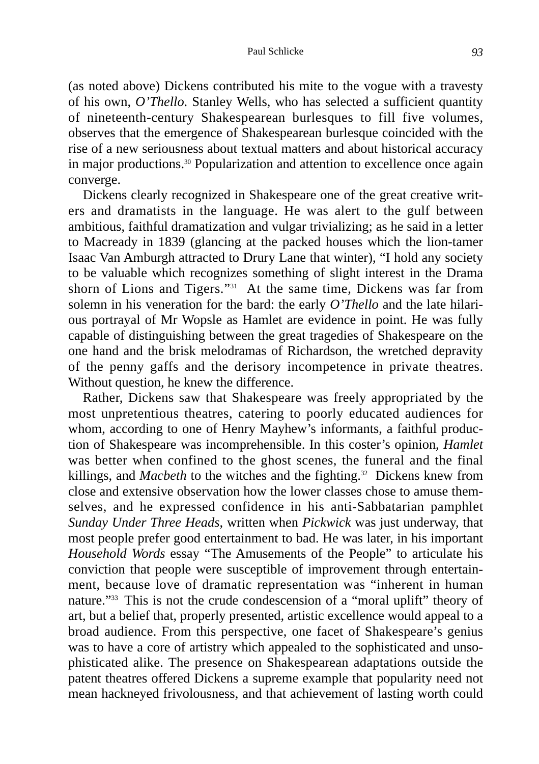(as noted above) Dickens contributed his mite to the vogue with a travesty of his own, *O'Thello*. Stanley Wells, who has selected a sufficient quantity of nineteenth-century Shakespearean burlesques to fill five volumes, observes that the emergence of Shakespearean burlesque coincided with the rise of a new seriousness about textual matters and about historical accuracy in major productions.30 Popularization and attention to excellence once again converge.

Dickens clearly recognized in Shakespeare one of the great creative writers and dramatists in the language. He was alert to the gulf between ambitious, faithful dramatization and vulgar trivializing; as he said in a letter to Macready in 1839 (glancing at the packed houses which the lion-tamer Isaac Van Amburgh attracted to Drury Lane that winter), "I hold any society to be valuable which recognizes something of slight interest in the Drama shorn of Lions and Tigers."31 At the same time, Dickens was far from solemn in his veneration for the bard: the early *O'Thello* and the late hilarious portrayal of Mr Wopsle as Hamlet are evidence in point. He was fully capable of distinguishing between the great tragedies of Shakespeare on the one hand and the brisk melodramas of Richardson, the wretched depravity of the penny gaffs and the derisory incompetence in private theatres. Without question, he knew the difference.

Rather, Dickens saw that Shakespeare was freely appropriated by the most unpretentious theatres, catering to poorly educated audiences for whom, according to one of Henry Mayhew's informants, a faithful production of Shakespeare was incomprehensible. In this coster's opinion, *Hamlet* was better when confined to the ghost scenes, the funeral and the final killings, and *Macbeth* to the witches and the fighting.<sup>32</sup> Dickens knew from close and extensive observation how the lower classes chose to amuse themselves, and he expressed confidence in his anti-Sabbatarian pamphlet *Sunday Under Three Heads*, written when *Pickwick* was just underway, that most people prefer good entertainment to bad. He was later, in his important *Household Words* essay "The Amusements of the People" to articulate his conviction that people were susceptible of improvement through entertainment, because love of dramatic representation was "inherent in human nature."33 This is not the crude condescension of a "moral uplift" theory of art, but a belief that, properly presented, artistic excellence would appeal to a broad audience. From this perspective, one facet of Shakespeare's genius was to have a core of artistry which appealed to the sophisticated and unsophisticated alike. The presence on Shakespearean adaptations outside the patent theatres offered Dickens a supreme example that popularity need not mean hackneyed frivolousness, and that achievement of lasting worth could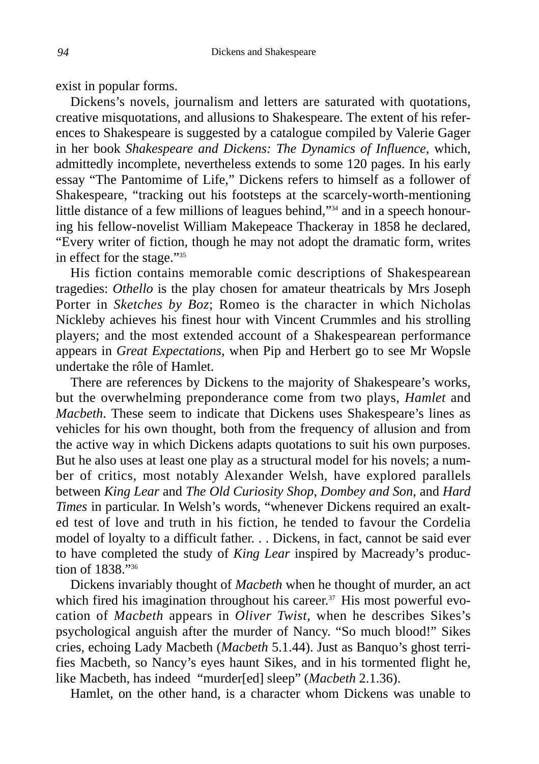exist in popular forms.

Dickens's novels, journalism and letters are saturated with quotations, creative misquotations, and allusions to Shakespeare. The extent of his references to Shakespeare is suggested by a catalogue compiled by Valerie Gager in her book *Shakespeare and Dickens: The Dynamics of Influence,* which, admittedly incomplete, nevertheless extends to some 120 pages. In his early essay "The Pantomime of Life," Dickens refers to himself as a follower of Shakespeare, "tracking out his footsteps at the scarcely-worth-mentioning little distance of a few millions of leagues behind,"34 and in a speech honouring his fellow-novelist William Makepeace Thackeray in 1858 he declared, "Every writer of fiction, though he may not adopt the dramatic form, writes in effect for the stage."35

His fiction contains memorable comic descriptions of Shakespearean tragedies: *Othello* is the play chosen for amateur theatricals by Mrs Joseph Porter in *Sketches by Boz*; Romeo is the character in which Nicholas Nickleby achieves his finest hour with Vincent Crummles and his strolling players; and the most extended account of a Shakespearean performance appears in *Great Expectations*, when Pip and Herbert go to see Mr Wopsle undertake the rôle of Hamlet.

There are references by Dickens to the majority of Shakespeare's works, but the overwhelming preponderance come from two plays, *Hamlet* and *Macbeth*. These seem to indicate that Dickens uses Shakespeare's lines as vehicles for his own thought, both from the frequency of allusion and from the active way in which Dickens adapts quotations to suit his own purposes. But he also uses at least one play as a structural model for his novels; a number of critics, most notably Alexander Welsh, have explored parallels between *King Lear* and *The Old Curiosity Shop*, *Dombey and Son*, and *Hard Times* in particular. In Welsh's words, "whenever Dickens required an exalted test of love and truth in his fiction, he tended to favour the Cordelia model of loyalty to a difficult father. . . Dickens, in fact, cannot be said ever to have completed the study of *King Lear* inspired by Macready's production of 1838."36

Dickens invariably thought of *Macbeth* when he thought of murder, an act which fired his imagination throughout his career.<sup>37</sup> His most powerful evocation of *Macbeth* appears in *Oliver Twist*, when he describes Sikes's psychological anguish after the murder of Nancy. "So much blood!" Sikes cries, echoing Lady Macbeth (*Macbeth* 5.1.44). Just as Banquo's ghost terrifies Macbeth, so Nancy's eyes haunt Sikes, and in his tormented flight he, like Macbeth, has indeed "murder[ed] sleep" (*Macbeth* 2.1.36).

Hamlet, on the other hand, is a character whom Dickens was unable to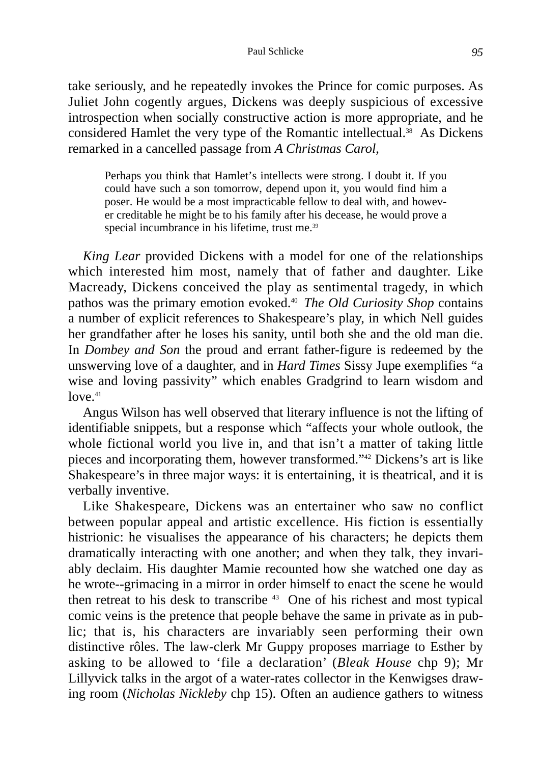take seriously, and he repeatedly invokes the Prince for comic purposes. As Juliet John cogently argues, Dickens was deeply suspicious of excessive introspection when socially constructive action is more appropriate, and he considered Hamlet the very type of the Romantic intellectual.<sup>38</sup> As Dickens remarked in a cancelled passage from *A Christmas Carol*,

Perhaps you think that Hamlet's intellects were strong. I doubt it. If you could have such a son tomorrow, depend upon it, you would find him a poser. He would be a most impracticable fellow to deal with, and however creditable he might be to his family after his decease, he would prove a special incumbrance in his lifetime, trust me.<sup>39</sup>

*King Lear* provided Dickens with a model for one of the relationships which interested him most, namely that of father and daughter. Like Macready, Dickens conceived the play as sentimental tragedy, in which pathos was the primary emotion evoked.40 *The Old Curiosity Shop* contains a number of explicit references to Shakespeare's play, in which Nell guides her grandfather after he loses his sanity, until both she and the old man die. In *Dombey and Son* the proud and errant father-figure is redeemed by the unswerving love of a daughter, and in *Hard Times* Sissy Jupe exemplifies "a wise and loving passivity" which enables Gradgrind to learn wisdom and  $love<sup>41</sup>$ 

Angus Wilson has well observed that literary influence is not the lifting of identifiable snippets, but a response which "affects your whole outlook, the whole fictional world you live in, and that isn't a matter of taking little pieces and incorporating them, however transformed."42 Dickens's art is like Shakespeare's in three major ways: it is entertaining, it is theatrical, and it is verbally inventive.

Like Shakespeare, Dickens was an entertainer who saw no conflict between popular appeal and artistic excellence. His fiction is essentially histrionic: he visualises the appearance of his characters; he depicts them dramatically interacting with one another; and when they talk, they invariably declaim. His daughter Mamie recounted how she watched one day as he wrote--grimacing in a mirror in order himself to enact the scene he would then retreat to his desk to transcribe  $43$  One of his richest and most typical comic veins is the pretence that people behave the same in private as in public; that is, his characters are invariably seen performing their own distinctive rôles. The law-clerk Mr Guppy proposes marriage to Esther by asking to be allowed to 'file a declaration' (*Bleak House* chp 9); Mr Lillyvick talks in the argot of a water-rates collector in the Kenwigses drawing room (*Nicholas Nickleby* chp 15). Often an audience gathers to witness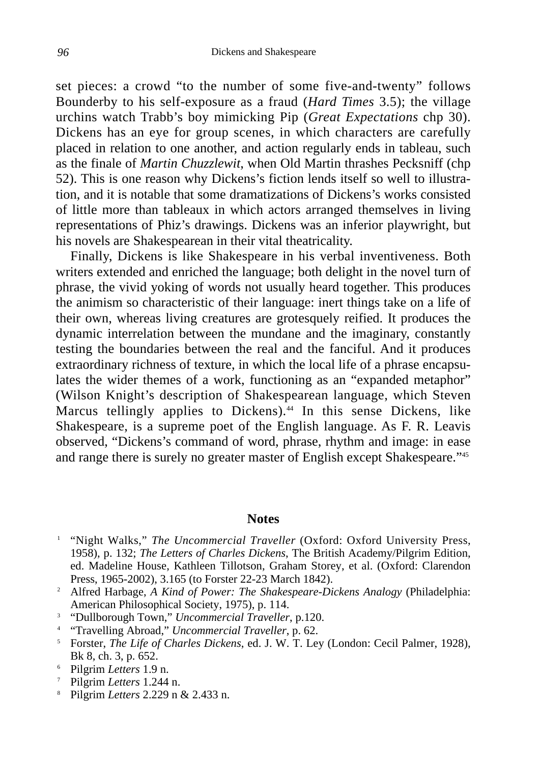set pieces: a crowd "to the number of some five-and-twenty" follows Bounderby to his self-exposure as a fraud (*Hard Times* 3.5); the village urchins watch Trabb's boy mimicking Pip (*Great Expectations* chp 30). Dickens has an eye for group scenes, in which characters are carefully placed in relation to one another, and action regularly ends in tableau, such as the finale of *Martin Chuzzlewit*, when Old Martin thrashes Pecksniff (chp 52). This is one reason why Dickens's fiction lends itself so well to illustration, and it is notable that some dramatizations of Dickens's works consisted of little more than tableaux in which actors arranged themselves in living representations of Phiz's drawings. Dickens was an inferior playwright, but his novels are Shakespearean in their vital theatricality.

Finally, Dickens is like Shakespeare in his verbal inventiveness. Both writers extended and enriched the language; both delight in the novel turn of phrase, the vivid yoking of words not usually heard together. This produces the animism so characteristic of their language: inert things take on a life of their own, whereas living creatures are grotesquely reified. It produces the dynamic interrelation between the mundane and the imaginary, constantly testing the boundaries between the real and the fanciful. And it produces extraordinary richness of texture, in which the local life of a phrase encapsulates the wider themes of a work, functioning as an "expanded metaphor" (Wilson Knight's description of Shakespearean language, which Steven Marcus tellingly applies to Dickens).<sup>44</sup> In this sense Dickens, like Shakespeare, is a supreme poet of the English language. As F. R. Leavis observed, "Dickens's command of word, phrase, rhythm and image: in ease and range there is surely no greater master of English except Shakespeare."45

## **Notes**

- <sup>1</sup> "Night Walks," *The Uncommercial Traveller* (Oxford: Oxford University Press, 1958), p. 132; *The Letters of Charles Dickens*, The British Academy/Pilgrim Edition, ed. Madeline House, Kathleen Tillotson, Graham Storey, et al. (Oxford: Clarendon Press, 1965-2002), 3.165 (to Forster 22-23 March 1842).
- <sup>2</sup> Alfred Harbage, *A Kind of Power: The Shakespeare-Dickens Analogy* (Philadelphia: American Philosophical Society, 1975), p. 114.
- <sup>3</sup> "Dullborough Town," *Uncommercial Traveller*, p.120.
- <sup>4</sup> "Travelling Abroad," *Uncommercial Traveller*, p. 62.
- <sup>5</sup> Forster, *The Life of Charles Dickens*, ed. J. W. T. Ley (London: Cecil Palmer, 1928), Bk 8, ch. 3, p. 652.
- <sup>6</sup> Pilgrim *Letters* 1.9 n.
- <sup>7</sup> Pilgrim *Letters* 1.244 n.
- <sup>8</sup> Pilgrim *Letters* 2.229 n & 2.433 n.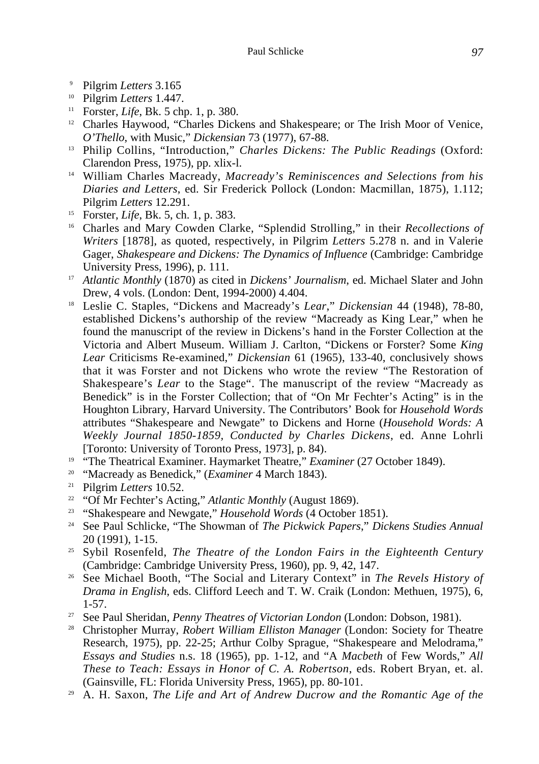- 
- 
- <sup>9</sup> Pilgrim *Letters* 3.165 10 Pilgrim *Letters* 1.447.
- <sup>12</sup> Charles Haywood, "Charles Dickens and Shakespeare; or The Irish Moor of Venice, *O'Thello*, with Music," *Dickensian* 73 (1977), 67-88.
- <sup>13</sup> Philip Collins, "Introduction," *Charles Dickens: The Public Readings* (Oxford: Clarendon Press, 1975), pp. xlix-l.
- <sup>14</sup> William Charles Macready, *Macready's Reminiscences and Selections from his Diaries and Letters*, ed. Sir Frederick Pollock (London: Macmillan, 1875), 1.112; Pilgrim *Letters* 12.291.
- 
- <sup>15</sup> Forster, *Life*, Bk. 5, ch. 1, p. 383.<br><sup>16</sup> Charles and Mary Cowden Clarke, "Splendid Strolling," in their *Recollections of Writers* [1878], as quoted, respectively, in Pilgrim *Letters* 5.278 n. and in Valerie Gager, *Shakespeare and Dickens: The Dynamics of Influence* (Cambridge: Cambridge University Press, 1996), p. 111.
- <sup>17</sup> *Atlantic Monthly* (1870) as cited in *Dickens' Journalism*, ed. Michael Slater and John Drew, 4 vols. (London: Dent, 1994-2000) 4.404.
- <sup>18</sup> Leslie C. Staples, "Dickens and Macready's *Lear*," *Dickensian* 44 (1948), 78-80, established Dickens's authorship of the review "Macready as King Lear," when he found the manuscript of the review in Dickens's hand in the Forster Collection at the Victoria and Albert Museum. William J. Carlton, "Dickens or Forster? Some *King Lear* Criticisms Re-examined," *Dickensian* 61 (1965), 133-40, conclusively shows that it was Forster and not Dickens who wrote the review "The Restoration of Shakespeare's *Lear* to the Stage". The manuscript of the review "Macready as Benedick" is in the Forster Collection; that of "On Mr Fechter's Acting" is in the Houghton Library, Harvard University. The Contributors' Book for *Household Words* attributes "Shakespeare and Newgate" to Dickens and Horne (*Household Words: A Weekly Journal 1850-1859, Conducted by Charles Dickens*, ed. Anne Lohrli [Toronto: University of Toronto Press, 1973], p. 84).
- <sup>19</sup> "The Theatrical Examiner. Haymarket Theatre," *Examiner* (27 October 1849).
- <sup>20</sup> "Macready as Benedick," (*Examiner* 4 March 1843).
- <sup>21</sup> Pilgrim *Letters* 10.52.
- <sup>22</sup> "Of Mr Fechter's Acting," *Atlantic Monthly* (August 1869).
- <sup>23</sup> "Shakespeare and Newgate," *Household Words* (4 October 1851).
- <sup>24</sup> See Paul Schlicke, "The Showman of *The Pickwick Papers*," *Dickens Studies Annual* 20 (1991), 1-15.
- <sup>25</sup> Sybil Rosenfeld, *The Theatre of the London Fairs in the Eighteenth Century* (Cambridge: Cambridge University Press, 1960), pp. 9, 42, 147.
- <sup>26</sup> See Michael Booth, "The Social and Literary Context" in *The Revels History of Drama in English*, eds. Clifford Leech and T. W. Craik (London: Methuen, 1975), 6, 1-57.
- <sup>27</sup> See Paul Sheridan, *Penny Theatres of Victorian London* (London: Dobson, 1981).
- <sup>28</sup> Christopher Murray, *Robert William Elliston Manager* (London: Society for Theatre Research, 1975), pp. 22-25; Arthur Colby Sprague, "Shakespeare and Melodrama," *Essays and Studies* n.s. 18 (1965), pp. 1-12, and "A *Macbeth* of Few Words," *All These to Teach: Essays in Honor of C. A. Robertson*, eds. Robert Bryan, et. al. (Gainsville, FL: Florida University Press, 1965), pp. 80-101.
- <sup>29</sup> A. H. Saxon, *The Life and Art of Andrew Ducrow and the Romantic Age of the*